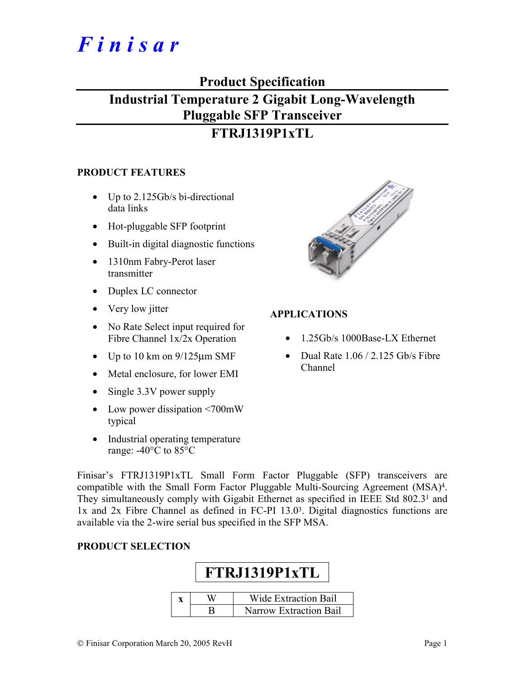# *F i n i s a r*

## **Product Specification**

## **Industrial Temperature 2 Gigabit Long-Wavelength Pluggable SFP Transceiver**

## **FTRJ1319P1xTL**

#### **PRODUCT FEATURES**

- Up to 2.125Gb/s bi-directional data links
- Hot-pluggable SFP footprint
- Built-in digital diagnostic functions
- 1310nm Fabry-Perot laser transmitter
- Duplex LC connector
- Very low jitter
- No Rate Select input required for Fibre Channel 1x/2x Operation
- Up to 10 km on  $9/125 \mu m$  SMF
- Metal enclosure, for lower EMI
- Single 3.3V power supply
- Low power dissipation <700mW typical
- Industrial operating temperature range: -40°C to 85°C



#### **APPLICATIONS**

- 1.25Gb/s 1000Base-LX Ethernet
- Dual Rate 1.06 / 2.125 Gb/s Fibre Channel

Finisar's FTRJ1319P1xTL Small Form Factor Pluggable (SFP) transceivers are compatible with the Small Form Factor Pluggable Multi-Sourcing Agreement (MSA)4. They simultaneously comply with Gigabit Ethernet as specified in IEEE Std 802.31 and 1x and 2x Fibre Channel as defined in FC-PI 13.03. Digital diagnostics functions are available via the 2-wire serial bus specified in the SFP MSA.

#### **PRODUCT SELECTION**

## **FTRJ1319P1xTL x** | W | Wide Extraction Bail B Narrow Extraction Bail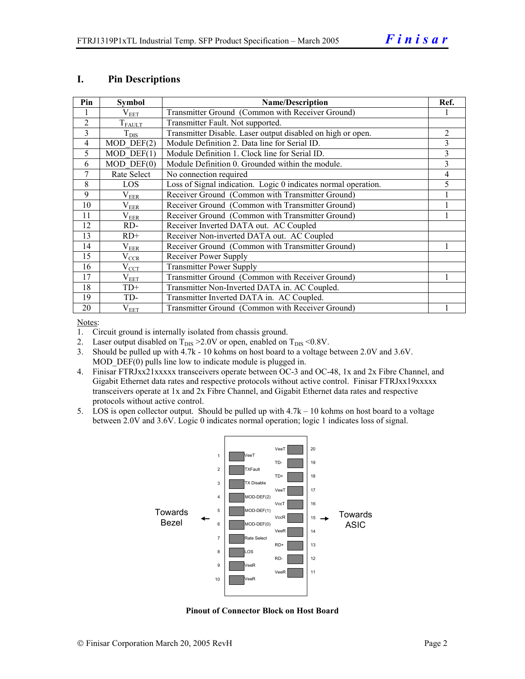#### **I. Pin Descriptions**

| Pin            | <b>Symbol</b>    | <b>Name/Description</b>                                        | Ref.           |
|----------------|------------------|----------------------------------------------------------------|----------------|
|                | $\rm V_{EET}$    | Transmitter Ground (Common with Receiver Ground)               |                |
| $\overline{2}$ | $T_{FAULT}$      | Transmitter Fault. Not supported.                              |                |
| 3              | $T_{\text{DIS}}$ | Transmitter Disable. Laser output disabled on high or open.    | $\overline{2}$ |
| $\overline{4}$ | $MOD$ DEF $(2)$  | Module Definition 2. Data line for Serial ID.                  | 3              |
| 5              | $MOD$ DEF $(1)$  | Module Definition 1. Clock line for Serial ID.                 | 3              |
| 6              | $MOD$ $DEF(0)$   | Module Definition 0. Grounded within the module.               | 3              |
| 7              | Rate Select      | No connection required                                         | 4              |
| 8              | LOS              | Loss of Signal indication. Logic 0 indicates normal operation. | 5              |
| 9              | $\rm V_{EER}$    | Receiver Ground (Common with Transmitter Ground)               |                |
| 10             | $\rm V_{EER}$    | Receiver Ground (Common with Transmitter Ground)               |                |
| 11             | $\rm V_{EER}$    | Receiver Ground (Common with Transmitter Ground)               |                |
| 12             | RD-              | Receiver Inverted DATA out. AC Coupled                         |                |
| 13             | $RD+$            | Receiver Non-inverted DATA out. AC Coupled                     |                |
| 14             | $\rm V_{EER}$    | Receiver Ground (Common with Transmitter Ground)               |                |
| 15             | $\rm V_{CCR}$    | Receiver Power Supply                                          |                |
| 16             | $V_{\rm CCT}$    | <b>Transmitter Power Supply</b>                                |                |
| 17             | $\rm V_{EET}$    | Transmitter Ground (Common with Receiver Ground)               |                |
| 18             | $TD+$            | Transmitter Non-Inverted DATA in. AC Coupled.                  |                |
| 19             | TD-              | Transmitter Inverted DATA in. AC Coupled.                      |                |
| 20             | $\rm V_{EET}$    | Transmitter Ground (Common with Receiver Ground)               |                |

Notes:

1. Circuit ground is internally isolated from chassis ground.

2. Laser output disabled on  $T_{DIS} > 2.0V$  or open, enabled on  $T_{DIS} < 0.8V$ .

3. Should be pulled up with 4.7k - 10 kohms on host board to a voltage between 2.0V and 3.6V. MOD DEF(0) pulls line low to indicate module is plugged in.

- 4. Finisar FTRJxx21xxxxx transceivers operate between OC-3 and OC-48, 1x and 2x Fibre Channel, and Gigabit Ethernet data rates and respective protocols without active control. Finisar FTRJxx19xxxxx transceivers operate at 1x and 2x Fibre Channel, and Gigabit Ethernet data rates and respective protocols without active control.
- 5. LOS is open collector output. Should be pulled up with 4.7k 10 kohms on host board to a voltage between 2.0V and 3.6V. Logic 0 indicates normal operation; logic 1 indicates loss of signal.



**Pinout of Connector Block on Host Board**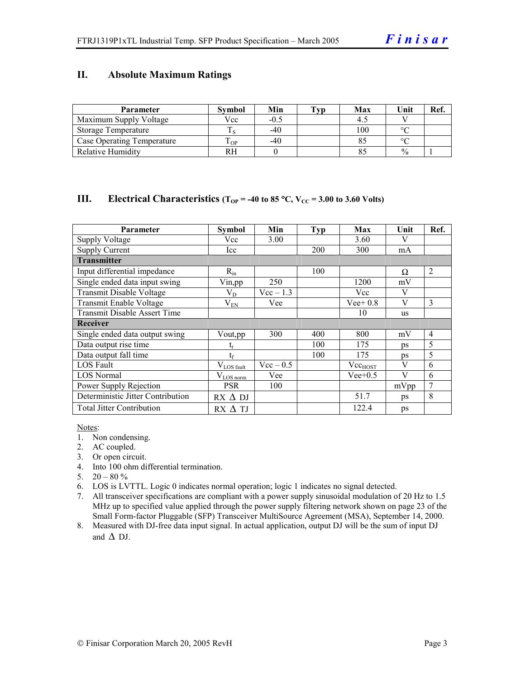#### **II. Absolute Maximum Ratings**

| <b>Parameter</b>                  | <b>Symbol</b> | Min    | Tvp | Max | Unit          | Ref. |
|-----------------------------------|---------------|--------|-----|-----|---------------|------|
| Maximum Supply Voltage            | Vcc           | $-0.5$ |     |     |               |      |
| Storage Temperature               |               | $-40$  |     | 100 | $\circ$       |      |
| <b>Case Operating Temperature</b> | m<br>OP.      | $-40$  |     |     | $\sim$        |      |
| <b>Relative Humidity</b>          | RН            |        |     |     | $\frac{0}{0}$ |      |

#### **III.** Electrical Characteristics ( $T_{OP}$  = -40 to 85 °C,  $V_{CC}$  = 3.00 to 3.60 Volts)

| Parameter                         | Symbol           | Min         | Typ | Max          | Unit      | Ref.           |
|-----------------------------------|------------------|-------------|-----|--------------|-----------|----------------|
| <b>Supply Voltage</b>             | Vcc              | 3.00        |     | 3.60         | V         |                |
| <b>Supply Current</b>             | Icc              |             | 200 | 300          | mA        |                |
| <b>Transmitter</b>                |                  |             |     |              |           |                |
| Input differential impedance      | $R_{in}$         |             | 100 |              | Ω         | 2              |
| Single ended data input swing     | Vin, pp          | 250         |     | 1200         | mV        |                |
| Transmit Disable Voltage          | $\rm V_{D}$      | $Vec-1.3$   |     | Vcc          | V         |                |
| Transmit Enable Voltage           | $V_{EN}$         | Vee         |     | $Vee+0.8$    | V         | $\overline{3}$ |
| Transmit Disable Assert Time      |                  |             |     | 10           | <b>us</b> |                |
| Receiver                          |                  |             |     |              |           |                |
| Single ended data output swing    | Vout, pp         | 300         | 400 | 800          | mV        | $\overline{4}$ |
| Data output rise time             | t,               |             | 100 | 175          | ps        | 5              |
| Data output fall time             | $t_{\rm f}$      |             | 100 | 175          | ps        | 5              |
| LOS Fault                         | $V_{LOS\_fault}$ | $Vec - 0.5$ |     | $Vec_{HOST}$ | V         | 6              |
| <b>LOS</b> Normal                 | $V_{LOS\_norm}$  | Vee         |     | $Vee+0.5$    | V         | 6              |
| Power Supply Rejection            | <b>PSR</b>       | 100         |     |              | mVpp      | 7              |
| Deterministic Jitter Contribution | $RX \Delta DI$   |             |     | 51.7         | ps        | 8              |
| <b>Total Jitter Contribution</b>  | $RX \Delta TI$   |             |     | 122.4        | ps        |                |

Notes:

- 1. Non condensing.
- 2. AC coupled.
- 3. Or open circuit.
- 4. Into 100 ohm differential termination.
- 5.  $20 80 \%$
- 6. LOS is LVTTL. Logic 0 indicates normal operation; logic 1 indicates no signal detected.
- 7. All transceiver specifications are compliant with a power supply sinusoidal modulation of 20 Hz to 1.5 MHz up to specified value applied through the power supply filtering network shown on page 23 of the Small Form-factor Pluggable (SFP) Transceiver MultiSource Agreement (MSA), September 14, 2000.
- 8. Measured with DJ-free data input signal. In actual application, output DJ will be the sum of input DJ and  $\Delta$  DJ.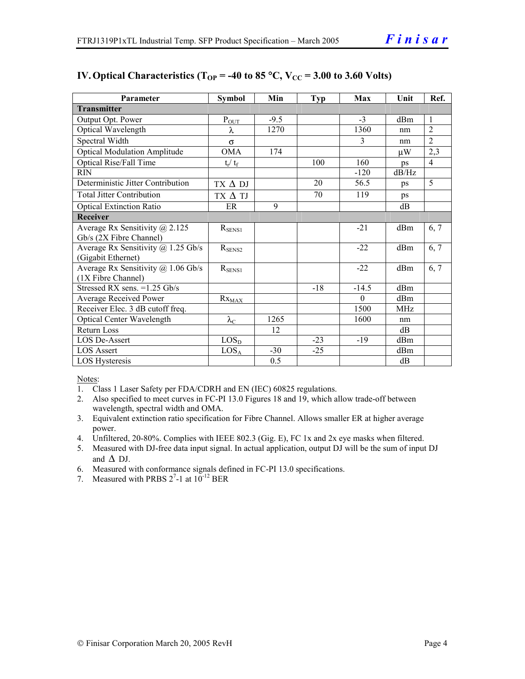| Parameter                                 | <b>Symbol</b>         | Min    | Typ   | Max           | Unit            | Ref.           |
|-------------------------------------------|-----------------------|--------|-------|---------------|-----------------|----------------|
| <b>Transmitter</b>                        |                       |        |       |               |                 |                |
| Output Opt. Power                         | $P_{\underline{OUT}}$ | $-9.5$ |       | $-3$          | d <sub>Bm</sub> | $\mathbf{1}$   |
| Optical Wavelength                        | λ                     | 1270   |       | 1360          | nm              | $\overline{2}$ |
| Spectral Width                            | $\sigma$              |        |       | $\mathcal{E}$ | nm              | $\overline{2}$ |
| <b>Optical Modulation Amplitude</b>       | <b>OMA</b>            | 174    |       |               | μW              | 2,3            |
| <b>Optical Rise/Fall Time</b>             | $t_r / t_f$           |        | 100   | 160           | ps              | $\overline{4}$ |
| <b>RIN</b>                                |                       |        |       | $-120$        | dB/Hz           |                |
| Deterministic Jitter Contribution         | $TX \Delta DI$        |        | 20    | 56.5          | ps              | 5              |
| <b>Total Jitter Contribution</b>          | $TX \Delta TI$        |        | 70    | 119           | ps              |                |
| <b>Optical Extinction Ratio</b>           | ER                    | 9      |       |               | dB              |                |
| <b>Receiver</b>                           |                       |        |       |               |                 |                |
| Average Rx Sensitivity $\omega$ 2.125     | $R_{\rm SENS1}$       |        |       | $-21$         | dBm             | 6, 7           |
| Gb/s (2X Fibre Channel)                   |                       |        |       |               |                 |                |
| Average Rx Sensitivity $\omega$ 1.25 Gb/s | $R_{\rm SENS2}$       |        |       | $-22$         | d <sub>Bm</sub> | 6, 7           |
| (Gigabit Ethernet)                        |                       |        |       |               |                 |                |
| Average Rx Sensitivity $(a)$ 1.06 Gb/s    | $R_{SENS1}$           |        |       | $-22$         | dBm             | 6, 7           |
| (1X Fibre Channel)                        |                       |        |       |               |                 |                |
| Stressed RX sens. = 1.25 Gb/s             |                       |        | $-18$ | $-14.5$       | dBm             |                |
| Average Received Power                    | $Rx_{MAX}$            |        |       | $\theta$      | d <sub>Bm</sub> |                |
| Receiver Elec. 3 dB cutoff freq.          |                       |        |       | 1500          | MH <sub>z</sub> |                |
| <b>Optical Center Wavelength</b>          | $\lambda_{\rm C}$     | 1265   |       | 1600          | nm              |                |
| <b>Return Loss</b>                        |                       | 12     |       |               | dB              |                |
| LOS De-Assert                             | LOS <sub>D</sub>      |        | $-23$ | $-19$         | dBm             |                |
| <b>LOS Assert</b>                         | LOS <sub>A</sub>      | $-30$  | $-25$ |               | dBm             |                |
| LOS Hysteresis                            |                       | 0.5    |       |               | dB              |                |

#### **IV. Optical Characteristics (T<sub>OP</sub> = -40 to 85 °C,**  $V_{CC}$  **= 3.00 to 3.60 Volts)**

Notes:

- 1. Class 1 Laser Safety per FDA/CDRH and EN (IEC) 60825 regulations.
- 2. Also specified to meet curves in FC-PI 13.0 Figures 18 and 19, which allow trade-off between wavelength, spectral width and OMA.
- 3. Equivalent extinction ratio specification for Fibre Channel. Allows smaller ER at higher average power.
- 4. Unfiltered, 20-80%. Complies with IEEE 802.3 (Gig. E), FC 1x and 2x eye masks when filtered.
- 5. Measured with DJ-free data input signal. In actual application, output DJ will be the sum of input DJ and  $\Delta$  DJ.
- 6. Measured with conformance signals defined in FC-PI 13.0 specifications.
- 7. Measured with PRBS  $2^7$ -1 at  $10^{-12}$  BER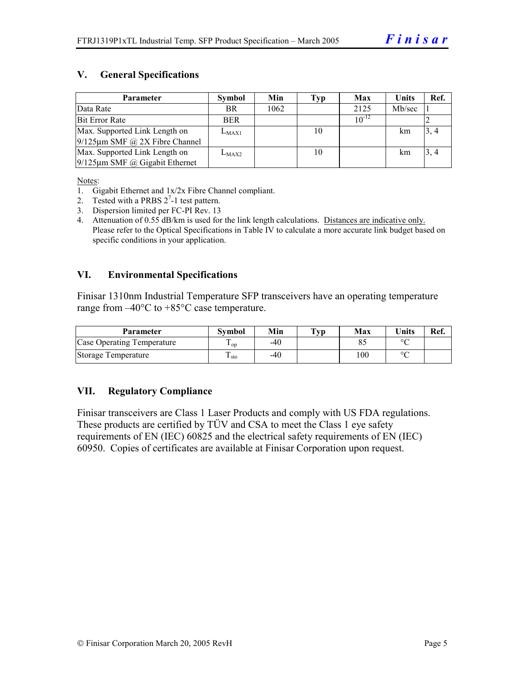#### **V. General Specifications**

| <b>Parameter</b>                     | Symbol     | Min  | Typ | Max        | <b>Units</b> | Ref. |
|--------------------------------------|------------|------|-----|------------|--------------|------|
| Data Rate                            | <b>BR</b>  | 1062 |     | 2125       | Mb/sec       |      |
| Bit Error Rate                       | <b>BER</b> |      |     | $10^{-12}$ |              |      |
| Max. Supported Link Length on        | $L_{MAX1}$ |      | 10  |            | km           | 3, 4 |
| $9/125 \mu m$ SMF @ 2X Fibre Channel |            |      |     |            |              |      |
| Max. Supported Link Length on        | $L_{MAX2}$ |      | 10  |            | km           | 3, 4 |
| $9/125 \mu m$ SMF @ Gigabit Ethernet |            |      |     |            |              |      |

Notes:

- 1. Gigabit Ethernet and 1x/2x Fibre Channel compliant.
- 2. Tested with a PRBS  $2^7$ -1 test pattern.
- 3. Dispersion limited per FC-PI Rev. 13
- 4. Attenuation of 0.55 dB/km is used for the link length calculations. Distances are indicative only. Please refer to the Optical Specifications in Table IV to calculate a more accurate link budget based on specific conditions in your application.

#### **VI. Environmental Specifications**

Finisar 1310nm Industrial Temperature SFP transceivers have an operating temperature range from –40°C to +85°C case temperature.

| <b>Parameter</b>                  | <b>Symbol</b>   | Min | $\mathbf{T}_{\mathbf{V}\mathbf{p}}$ | Max | <b>Units</b> | Ref. |
|-----------------------------------|-----------------|-----|-------------------------------------|-----|--------------|------|
| <b>Case Operating Temperature</b> | $\mathbf{1}$ op | -40 |                                     |     | $\sim$       |      |
| Storage Temperature               | Ē<br>⊥ sto      | -40 |                                     | 100 | $\sim$       |      |

#### **VII. Regulatory Compliance**

Finisar transceivers are Class 1 Laser Products and comply with US FDA regulations. These products are certified by TÜV and CSA to meet the Class 1 eye safety requirements of EN (IEC) 60825 and the electrical safety requirements of EN (IEC) 60950. Copies of certificates are available at Finisar Corporation upon request.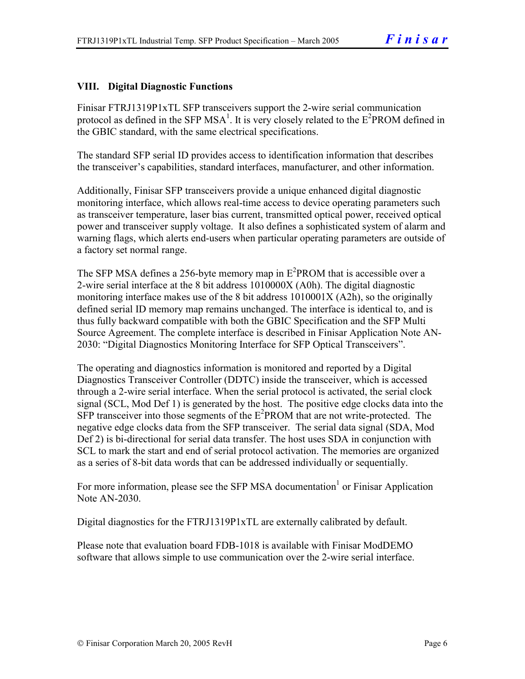#### **VIII. Digital Diagnostic Functions**

Finisar FTRJ1319P1xTL SFP transceivers support the 2-wire serial communication protocol as defined in the SFP MSA<sup>1</sup>. It is very closely related to the  $E^2$ PROM defined in the GBIC standard, with the same electrical specifications.

The standard SFP serial ID provides access to identification information that describes the transceiver's capabilities, standard interfaces, manufacturer, and other information.

Additionally, Finisar SFP transceivers provide a unique enhanced digital diagnostic monitoring interface, which allows real-time access to device operating parameters such as transceiver temperature, laser bias current, transmitted optical power, received optical power and transceiver supply voltage. It also defines a sophisticated system of alarm and warning flags, which alerts end-users when particular operating parameters are outside of a factory set normal range.

The SFP MSA defines a 256-byte memory map in  $E^2$ PROM that is accessible over a 2-wire serial interface at the 8 bit address 1010000X (A0h). The digital diagnostic monitoring interface makes use of the 8 bit address 1010001X (A2h), so the originally defined serial ID memory map remains unchanged. The interface is identical to, and is thus fully backward compatible with both the GBIC Specification and the SFP Multi Source Agreement. The complete interface is described in Finisar Application Note AN-2030: "Digital Diagnostics Monitoring Interface for SFP Optical Transceivers".

The operating and diagnostics information is monitored and reported by a Digital Diagnostics Transceiver Controller (DDTC) inside the transceiver, which is accessed through a 2-wire serial interface. When the serial protocol is activated, the serial clock signal (SCL, Mod Def 1) is generated by the host. The positive edge clocks data into the  $SFP$  transceiver into those segments of the  $E^2$ PROM that are not write-protected. The negative edge clocks data from the SFP transceiver. The serial data signal (SDA, Mod Def 2) is bi-directional for serial data transfer. The host uses SDA in conjunction with SCL to mark the start and end of serial protocol activation. The memories are organized as a series of 8-bit data words that can be addressed individually or sequentially.

For more information, please see the SFP MSA documentation<sup>1</sup> or Finisar Application Note AN-2030.

Digital diagnostics for the FTRJ1319P1xTL are externally calibrated by default.

Please note that evaluation board FDB-1018 is available with Finisar ModDEMO software that allows simple to use communication over the 2-wire serial interface.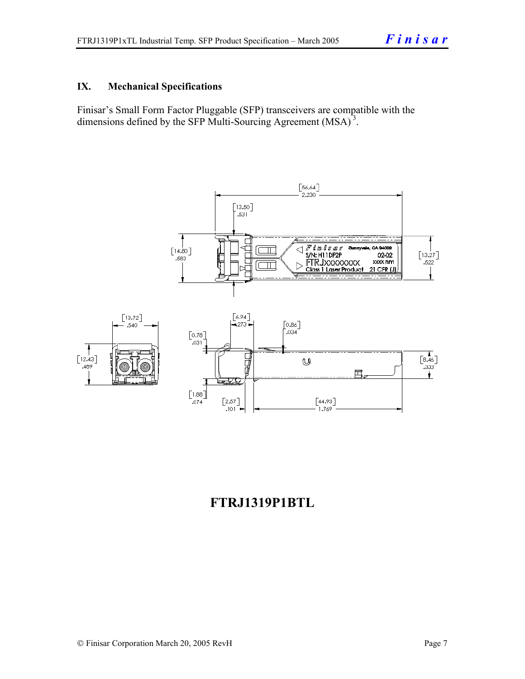#### **IX. Mechanical Specifications**

Finisar's Small Form Factor Pluggable (SFP) transceivers are compatible with the dimensions defined by the SFP Multi-Sourcing Agreement (MSA)<sup>3</sup>.



## **FTRJ1319P1BTL**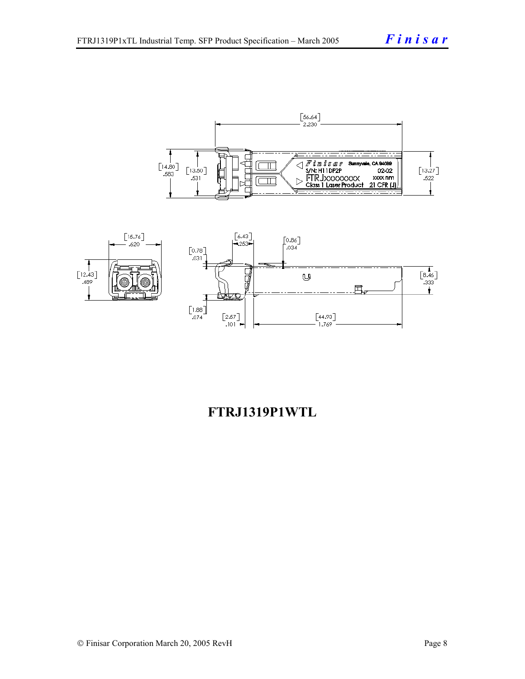



## **FTRJ1319P1WTL**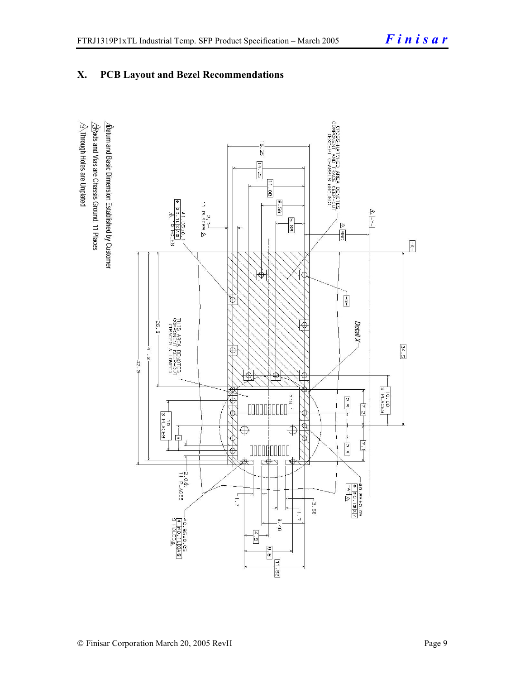### **X. PCB Layout and Bezel Recommendations**

 $\hat{\triangle}$ Through Holes are Unplated  $\Delta$ atum and Basic Dimension Established by Customer  $\frac{1}{2}$ Rads and Vias are Chassis Ground, 11 Places

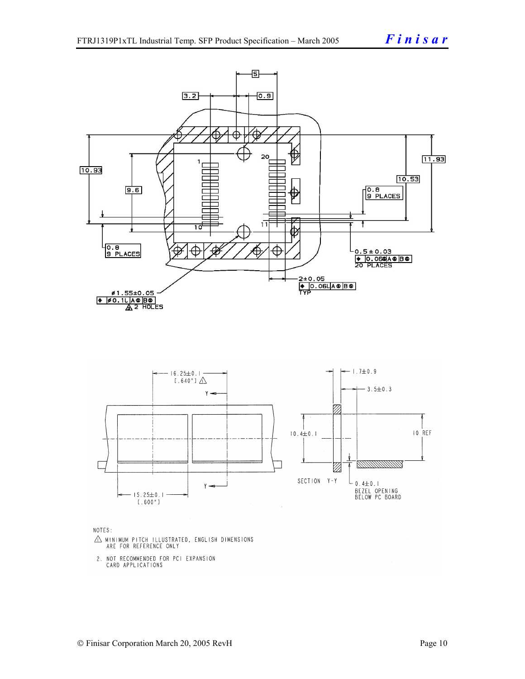

NOTES:

- $\triangle$  MINIMUM PITCH ILLUSTRATED, ENGLISH DIMENSIONS ARE FOR REFERENCE ONLY
- 2. NOT RECOMMENDED FOR PCI EXPANSION CARD APPLICATIONS